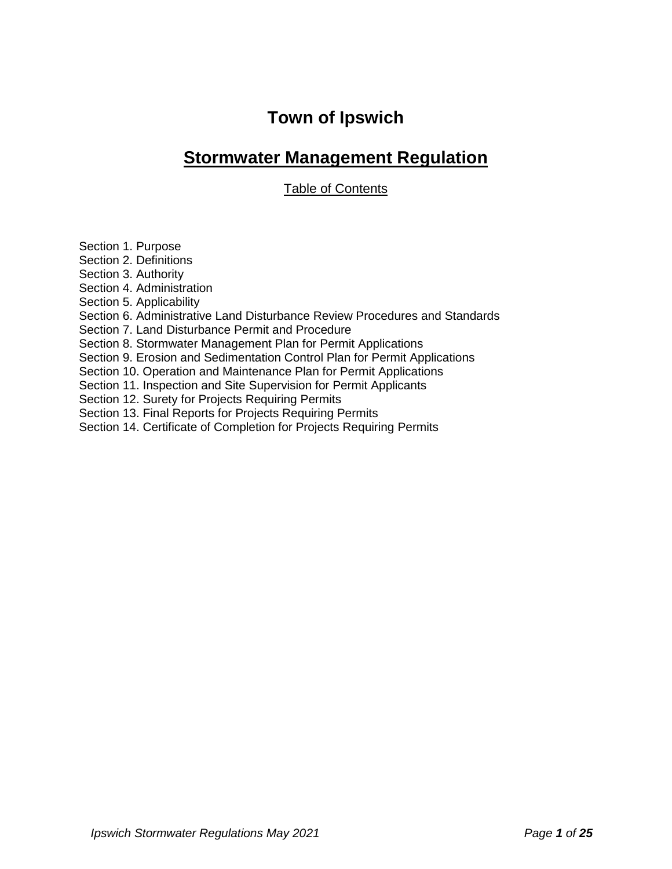# **Town of Ipswich**

## **Stormwater Management Regulation**

Table of Contents

Section 1. Purpose

Section 2. Definitions

Section 3. Authority

Section 4. Administration

Section 5. Applicability

Section 6. Administrative Land Disturbance Review Procedures and Standards

Section 7. Land Disturbance Permit and Procedure

Section 8. Stormwater Management Plan for Permit Applications

Section 9. Erosion and Sedimentation Control Plan for Permit Applications

Section 10. Operation and Maintenance Plan for Permit Applications

Section 11. Inspection and Site Supervision for Permit Applicants

Section 12. Surety for Projects Requiring Permits

Section 13. Final Reports for Projects Requiring Permits

Section 14. Certificate of Completion for Projects Requiring Permits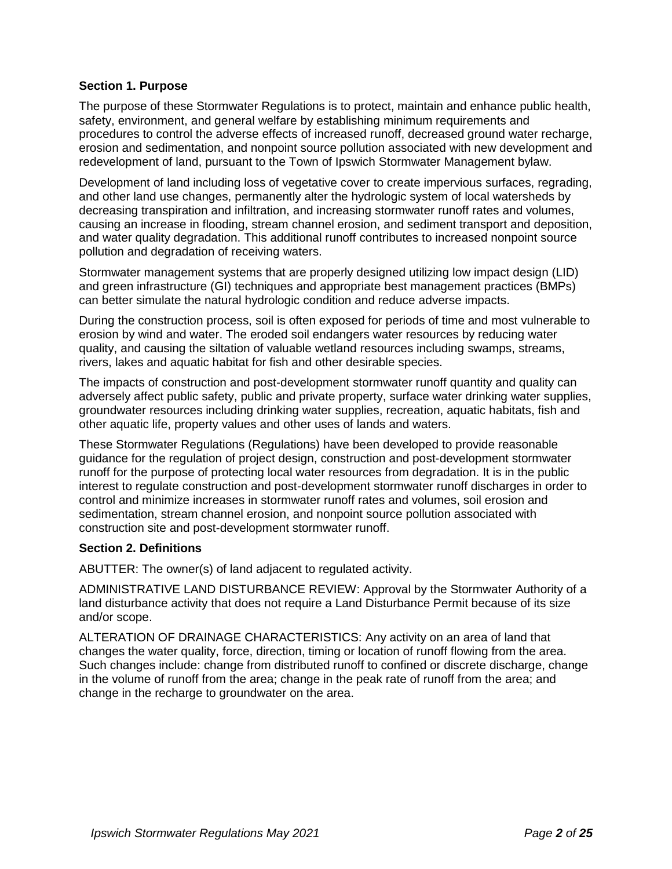## **Section 1. Purpose**

The purpose of these Stormwater Regulations is to protect, maintain and enhance public health, safety, environment, and general welfare by establishing minimum requirements and procedures to control the adverse effects of increased runoff, decreased ground water recharge, erosion and sedimentation, and nonpoint source pollution associated with new development and redevelopment of land, pursuant to the Town of Ipswich Stormwater Management bylaw.

Development of land including loss of vegetative cover to create impervious surfaces, regrading, and other land use changes, permanently alter the hydrologic system of local watersheds by decreasing transpiration and infiltration, and increasing stormwater runoff rates and volumes, causing an increase in flooding, stream channel erosion, and sediment transport and deposition, and water quality degradation. This additional runoff contributes to increased nonpoint source pollution and degradation of receiving waters.

Stormwater management systems that are properly designed utilizing low impact design (LID) and green infrastructure (GI) techniques and appropriate best management practices (BMPs) can better simulate the natural hydrologic condition and reduce adverse impacts.

During the construction process, soil is often exposed for periods of time and most vulnerable to erosion by wind and water. The eroded soil endangers water resources by reducing water quality, and causing the siltation of valuable wetland resources including swamps, streams, rivers, lakes and aquatic habitat for fish and other desirable species.

The impacts of construction and post-development stormwater runoff quantity and quality can adversely affect public safety, public and private property, surface water drinking water supplies, groundwater resources including drinking water supplies, recreation, aquatic habitats, fish and other aquatic life, property values and other uses of lands and waters.

These Stormwater Regulations (Regulations) have been developed to provide reasonable guidance for the regulation of project design, construction and post-development stormwater runoff for the purpose of protecting local water resources from degradation. It is in the public interest to regulate construction and post-development stormwater runoff discharges in order to control and minimize increases in stormwater runoff rates and volumes, soil erosion and sedimentation, stream channel erosion, and nonpoint source pollution associated with construction site and post-development stormwater runoff.

## **Section 2. Definitions**

ABUTTER: The owner(s) of land adjacent to regulated activity.

ADMINISTRATIVE LAND DISTURBANCE REVIEW: Approval by the Stormwater Authority of a land disturbance activity that does not require a Land Disturbance Permit because of its size and/or scope.

ALTERATION OF DRAINAGE CHARACTERISTICS: Any activity on an area of land that changes the water quality, force, direction, timing or location of runoff flowing from the area. Such changes include: change from distributed runoff to confined or discrete discharge, change in the volume of runoff from the area; change in the peak rate of runoff from the area; and change in the recharge to groundwater on the area.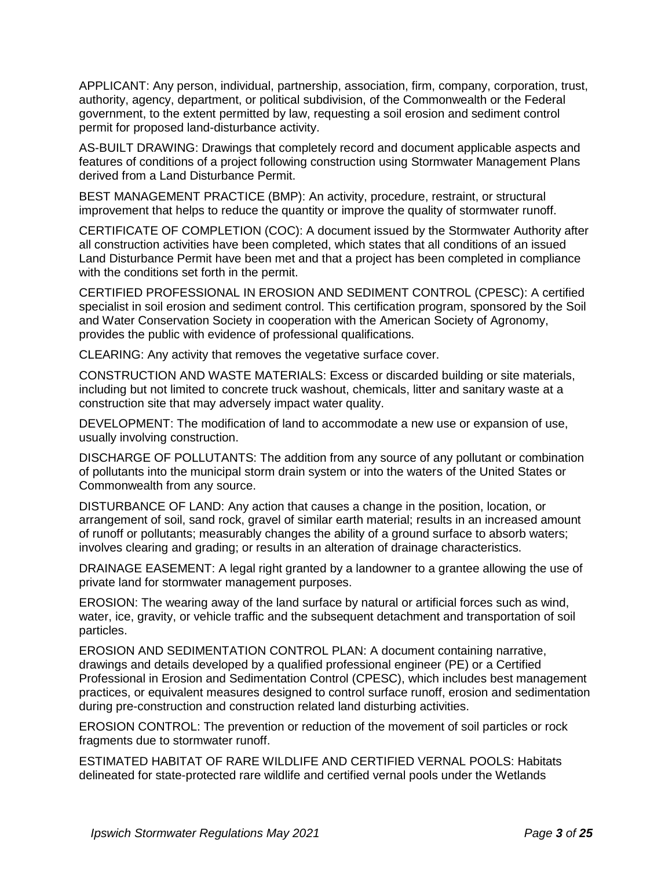APPLICANT: Any person, individual, partnership, association, firm, company, corporation, trust, authority, agency, department, or political subdivision, of the Commonwealth or the Federal government, to the extent permitted by law, requesting a soil erosion and sediment control permit for proposed land-disturbance activity.

AS-BUILT DRAWING: Drawings that completely record and document applicable aspects and features of conditions of a project following construction using Stormwater Management Plans derived from a Land Disturbance Permit.

BEST MANAGEMENT PRACTICE (BMP): An activity, procedure, restraint, or structural improvement that helps to reduce the quantity or improve the quality of stormwater runoff.

CERTIFICATE OF COMPLETION (COC): A document issued by the Stormwater Authority after all construction activities have been completed, which states that all conditions of an issued Land Disturbance Permit have been met and that a project has been completed in compliance with the conditions set forth in the permit.

CERTIFIED PROFESSIONAL IN EROSION AND SEDIMENT CONTROL (CPESC): A certified specialist in soil erosion and sediment control. This certification program, sponsored by the Soil and Water Conservation Society in cooperation with the American Society of Agronomy, provides the public with evidence of professional qualifications.

CLEARING: Any activity that removes the vegetative surface cover.

CONSTRUCTION AND WASTE MATERIALS: Excess or discarded building or site materials, including but not limited to concrete truck washout, chemicals, litter and sanitary waste at a construction site that may adversely impact water quality.

DEVELOPMENT: The modification of land to accommodate a new use or expansion of use, usually involving construction.

DISCHARGE OF POLLUTANTS: The addition from any source of any pollutant or combination of pollutants into the municipal storm drain system or into the waters of the United States or Commonwealth from any source.

DISTURBANCE OF LAND: Any action that causes a change in the position, location, or arrangement of soil, sand rock, gravel of similar earth material; results in an increased amount of runoff or pollutants; measurably changes the ability of a ground surface to absorb waters; involves clearing and grading; or results in an alteration of drainage characteristics.

DRAINAGE EASEMENT: A legal right granted by a landowner to a grantee allowing the use of private land for stormwater management purposes.

EROSION: The wearing away of the land surface by natural or artificial forces such as wind, water, ice, gravity, or vehicle traffic and the subsequent detachment and transportation of soil particles.

EROSION AND SEDIMENTATION CONTROL PLAN: A document containing narrative, drawings and details developed by a qualified professional engineer (PE) or a Certified Professional in Erosion and Sedimentation Control (CPESC), which includes best management practices, or equivalent measures designed to control surface runoff, erosion and sedimentation during pre-construction and construction related land disturbing activities.

EROSION CONTROL: The prevention or reduction of the movement of soil particles or rock fragments due to stormwater runoff.

ESTIMATED HABITAT OF RARE WILDLIFE AND CERTIFIED VERNAL POOLS: Habitats delineated for state-protected rare wildlife and certified vernal pools under the Wetlands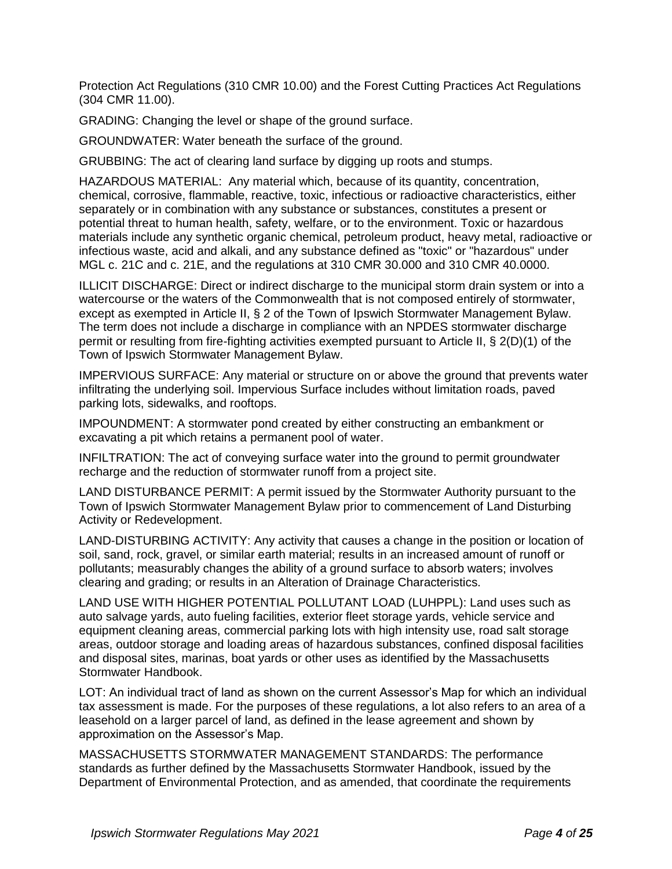Protection Act Regulations (310 CMR 10.00) and the Forest Cutting Practices Act Regulations (304 CMR 11.00).

GRADING: Changing the level or shape of the ground surface.

GROUNDWATER: Water beneath the surface of the ground.

GRUBBING: The act of clearing land surface by digging up roots and stumps.

HAZARDOUS MATERIAL: Any material which, because of its quantity, concentration, chemical, corrosive, flammable, reactive, toxic, infectious or radioactive characteristics, either separately or in combination with any substance or substances, constitutes a present or potential threat to human health, safety, welfare, or to the environment. Toxic or hazardous materials include any synthetic organic chemical, petroleum product, heavy metal, radioactive or infectious waste, acid and alkali, and any substance defined as "toxic" or "hazardous" under MGL c. 21C and c. 21E, and the regulations at 310 CMR 30.000 and 310 CMR 40.0000.

ILLICIT DISCHARGE: Direct or indirect discharge to the municipal storm drain system or into a watercourse or the waters of the Commonwealth that is not composed entirely of stormwater, except as exempted in Article II, § 2 of the Town of Ipswich Stormwater Management Bylaw. The term does not include a discharge in compliance with an NPDES stormwater discharge permit or resulting from fire-fighting activities exempted pursuant to Article II, § 2(D)(1) of the Town of Ipswich Stormwater Management Bylaw.

IMPERVIOUS SURFACE: Any material or structure on or above the ground that prevents water infiltrating the underlying soil. Impervious Surface includes without limitation roads, paved parking lots, sidewalks, and rooftops.

IMPOUNDMENT: A stormwater pond created by either constructing an embankment or excavating a pit which retains a permanent pool of water.

INFILTRATION: The act of conveying surface water into the ground to permit groundwater recharge and the reduction of stormwater runoff from a project site.

LAND DISTURBANCE PERMIT: A permit issued by the Stormwater Authority pursuant to the Town of Ipswich Stormwater Management Bylaw prior to commencement of Land Disturbing Activity or Redevelopment.

LAND-DISTURBING ACTIVITY: Any activity that causes a change in the position or location of soil, sand, rock, gravel, or similar earth material; results in an increased amount of runoff or pollutants; measurably changes the ability of a ground surface to absorb waters; involves clearing and grading; or results in an Alteration of Drainage Characteristics.

LAND USE WITH HIGHER POTENTIAL POLLUTANT LOAD (LUHPPL): Land uses such as auto salvage yards, auto fueling facilities, exterior fleet storage yards, vehicle service and equipment cleaning areas, commercial parking lots with high intensity use, road salt storage areas, outdoor storage and loading areas of hazardous substances, confined disposal facilities and disposal sites, marinas, boat yards or other uses as identified by the Massachusetts Stormwater Handbook.

LOT: An individual tract of land as shown on the current Assessor's Map for which an individual tax assessment is made. For the purposes of these regulations, a lot also refers to an area of a leasehold on a larger parcel of land, as defined in the lease agreement and shown by approximation on the Assessor's Map.

MASSACHUSETTS STORMWATER MANAGEMENT STANDARDS: The performance standards as further defined by the Massachusetts Stormwater Handbook, issued by the Department of Environmental Protection, and as amended, that coordinate the requirements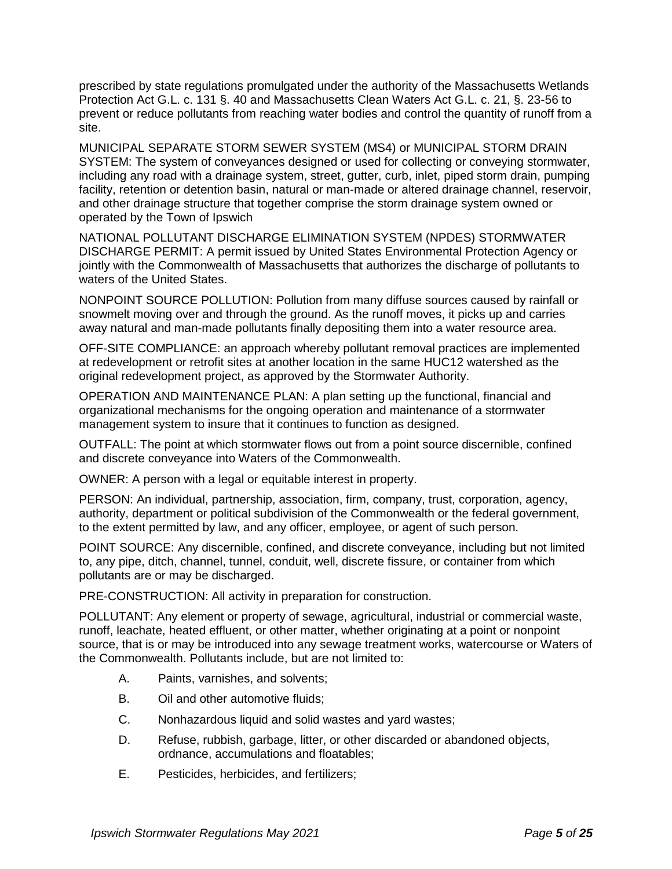prescribed by state regulations promulgated under the authority of the Massachusetts Wetlands Protection Act G.L. c. 131 §. 40 and Massachusetts Clean Waters Act G.L. c. 21, §. 23-56 to prevent or reduce pollutants from reaching water bodies and control the quantity of runoff from a site.

MUNICIPAL SEPARATE STORM SEWER SYSTEM (MS4) or MUNICIPAL STORM DRAIN SYSTEM: The system of conveyances designed or used for collecting or conveying stormwater, including any road with a drainage system, street, gutter, curb, inlet, piped storm drain, pumping facility, retention or detention basin, natural or man-made or altered drainage channel, reservoir, and other drainage structure that together comprise the storm drainage system owned or operated by the Town of Ipswich

NATIONAL POLLUTANT DISCHARGE ELIMINATION SYSTEM (NPDES) STORMWATER DISCHARGE PERMIT: A permit issued by United States Environmental Protection Agency or jointly with the Commonwealth of Massachusetts that authorizes the discharge of pollutants to waters of the United States.

NONPOINT SOURCE POLLUTION: Pollution from many diffuse sources caused by rainfall or snowmelt moving over and through the ground. As the runoff moves, it picks up and carries away natural and man-made pollutants finally depositing them into a water resource area.

OFF-SITE COMPLIANCE: an approach whereby pollutant removal practices are implemented at redevelopment or retrofit sites at another location in the same HUC12 watershed as the original redevelopment project, as approved by the Stormwater Authority.

OPERATION AND MAINTENANCE PLAN: A plan setting up the functional, financial and organizational mechanisms for the ongoing operation and maintenance of a stormwater management system to insure that it continues to function as designed.

OUTFALL: The point at which stormwater flows out from a point source discernible, confined and discrete conveyance into Waters of the Commonwealth.

OWNER: A person with a legal or equitable interest in property.

PERSON: An individual, partnership, association, firm, company, trust, corporation, agency, authority, department or political subdivision of the Commonwealth or the federal government, to the extent permitted by law, and any officer, employee, or agent of such person.

POINT SOURCE: Any discernible, confined, and discrete conveyance, including but not limited to, any pipe, ditch, channel, tunnel, conduit, well, discrete fissure, or container from which pollutants are or may be discharged.

PRE-CONSTRUCTION: All activity in preparation for construction.

POLLUTANT: Any element or property of sewage, agricultural, industrial or commercial waste, runoff, leachate, heated effluent, or other matter, whether originating at a point or nonpoint source, that is or may be introduced into any sewage treatment works, watercourse or Waters of the Commonwealth. Pollutants include, but are not limited to:

- A. Paints, varnishes, and solvents;
- B. Oil and other automotive fluids;
- C. Nonhazardous liquid and solid wastes and yard wastes;
- D. Refuse, rubbish, garbage, litter, or other discarded or abandoned objects, ordnance, accumulations and floatables;
- E. Pesticides, herbicides, and fertilizers;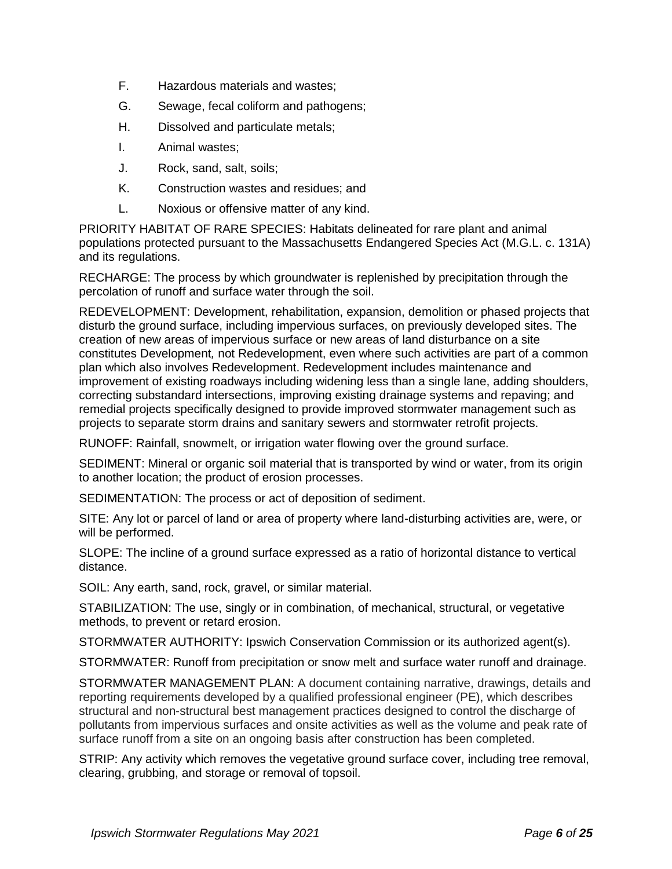- F. Hazardous materials and wastes;
- G. Sewage, fecal coliform and pathogens;
- H. Dissolved and particulate metals;
- I. Animal wastes;
- J. Rock, sand, salt, soils;
- K. Construction wastes and residues; and
- L. Noxious or offensive matter of any kind.

PRIORITY HABITAT OF RARE SPECIES: Habitats delineated for rare plant and animal populations protected pursuant to the Massachusetts Endangered Species Act (M.G.L. c. 131A) and its regulations.

RECHARGE: The process by which groundwater is replenished by precipitation through the percolation of runoff and surface water through the soil.

REDEVELOPMENT: Development, rehabilitation, expansion, demolition or phased projects that disturb the ground surface, including impervious surfaces, on previously developed sites. The creation of new areas of impervious surface or new areas of land disturbance on a site constitutes Development*,* not Redevelopment, even where such activities are part of a common plan which also involves Redevelopment. Redevelopment includes maintenance and improvement of existing roadways including widening less than a single lane, adding shoulders, correcting substandard intersections, improving existing drainage systems and repaving; and remedial projects specifically designed to provide improved stormwater management such as projects to separate storm drains and sanitary sewers and stormwater retrofit projects.

RUNOFF: Rainfall, snowmelt, or irrigation water flowing over the ground surface.

SEDIMENT: Mineral or organic soil material that is transported by wind or water, from its origin to another location; the product of erosion processes.

SEDIMENTATION: The process or act of deposition of sediment.

SITE: Any lot or parcel of land or area of property where land-disturbing activities are, were, or will be performed.

SLOPE: The incline of a ground surface expressed as a ratio of horizontal distance to vertical distance.

SOIL: Any earth, sand, rock, gravel, or similar material.

STABILIZATION: The use, singly or in combination, of mechanical, structural, or vegetative methods, to prevent or retard erosion.

STORMWATER AUTHORITY: Ipswich Conservation Commission or its authorized agent(s).

STORMWATER: Runoff from precipitation or snow melt and surface water runoff and drainage.

STORMWATER MANAGEMENT PLAN: A document containing narrative, drawings, details and reporting requirements developed by a qualified professional engineer (PE), which describes structural and non-structural best management practices designed to control the discharge of pollutants from impervious surfaces and onsite activities as well as the volume and peak rate of surface runoff from a site on an ongoing basis after construction has been completed.

STRIP: Any activity which removes the vegetative ground surface cover, including tree removal, clearing, grubbing, and storage or removal of topsoil.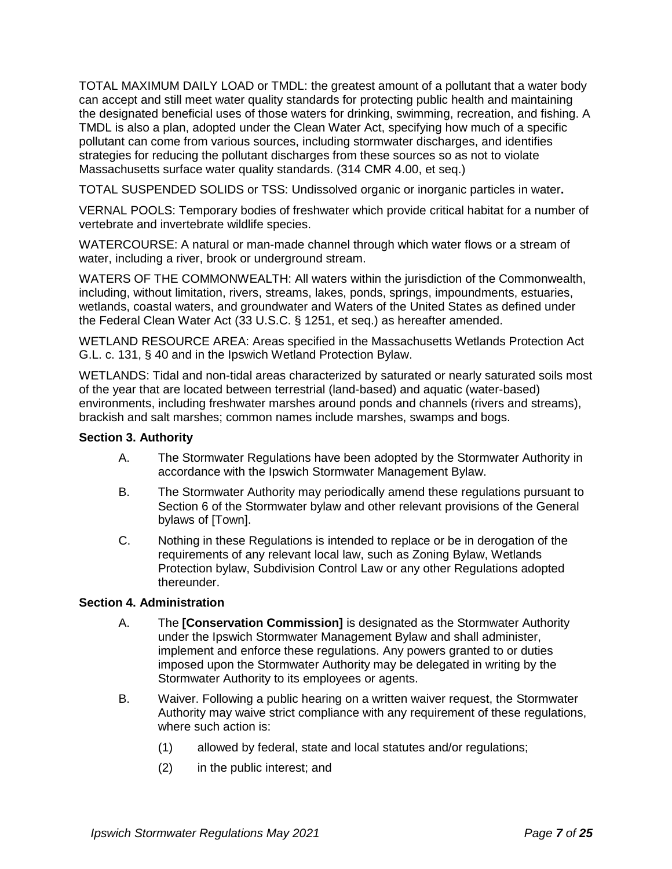TOTAL MAXIMUM DAILY LOAD or TMDL: the greatest amount of a pollutant that a water body can accept and still meet water quality standards for protecting public health and maintaining the designated beneficial uses of those waters for drinking, swimming, recreation, and fishing. A TMDL is also a plan, adopted under the Clean Water Act, specifying how much of a specific pollutant can come from various sources, including stormwater discharges, and identifies strategies for reducing the pollutant discharges from these sources so as not to violate Massachusetts surface water quality standards. (314 CMR 4.00, et seq.)

TOTAL SUSPENDED SOLIDS or TSS: Undissolved organic or inorganic particles in water**.**

VERNAL POOLS: Temporary bodies of freshwater which provide critical habitat for a number of vertebrate and invertebrate wildlife species.

WATERCOURSE: A natural or man-made channel through which water flows or a stream of water, including a river, brook or underground stream.

WATERS OF THE COMMONWEALTH: All waters within the jurisdiction of the Commonwealth, including, without limitation, rivers, streams, lakes, ponds, springs, impoundments, estuaries, wetlands, coastal waters, and groundwater and Waters of the United States as defined under the Federal Clean Water Act (33 U.S.C. § 1251, et seq.) as hereafter amended.

WETLAND RESOURCE AREA: Areas specified in the Massachusetts Wetlands Protection Act G.L. c. 131, § 40 and in the Ipswich Wetland Protection Bylaw.

WETLANDS: Tidal and non-tidal areas characterized by saturated or nearly saturated soils most of the year that are located between terrestrial (land-based) and aquatic (water-based) environments, including freshwater marshes around ponds and channels (rivers and streams), brackish and salt marshes; common names include marshes, swamps and bogs.

#### **Section 3. Authority**

- A. The Stormwater Regulations have been adopted by the Stormwater Authority in accordance with the Ipswich Stormwater Management Bylaw.
- B. The Stormwater Authority may periodically amend these regulations pursuant to Section 6 of the Stormwater bylaw and other relevant provisions of the General bylaws of [Town].
- C. Nothing in these Regulations is intended to replace or be in derogation of the requirements of any relevant local law, such as Zoning Bylaw, Wetlands Protection bylaw, Subdivision Control Law or any other Regulations adopted thereunder.

#### **Section 4. Administration**

- A. The **[Conservation Commission]** is designated as the Stormwater Authority under the Ipswich Stormwater Management Bylaw and shall administer, implement and enforce these regulations. Any powers granted to or duties imposed upon the Stormwater Authority may be delegated in writing by the Stormwater Authority to its employees or agents.
- B. Waiver. Following a public hearing on a written waiver request, the Stormwater Authority may waive strict compliance with any requirement of these regulations, where such action is:
	- (1) allowed by federal, state and local statutes and/or regulations;
	- (2) in the public interest; and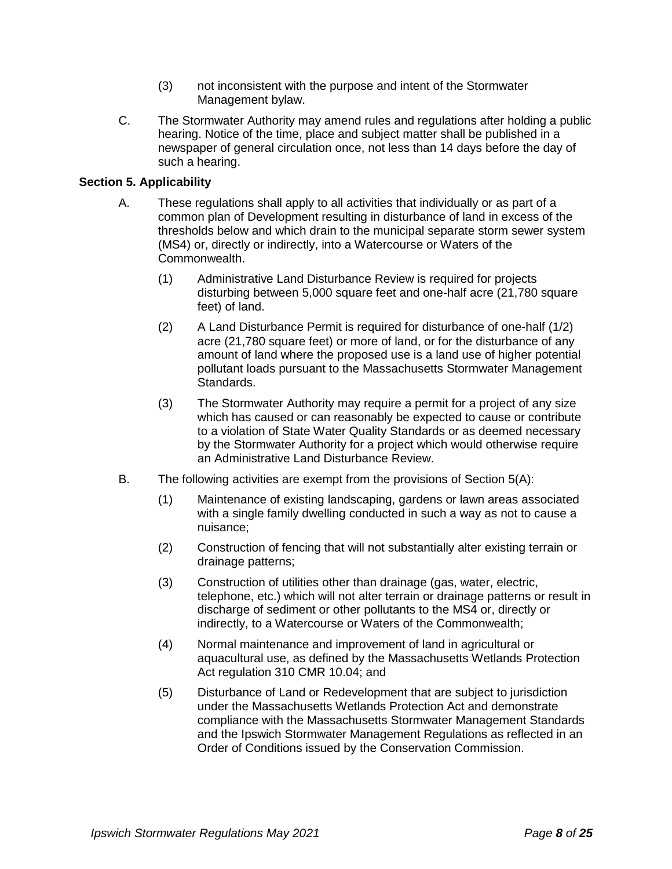- (3) not inconsistent with the purpose and intent of the Stormwater Management bylaw.
- C. The Stormwater Authority may amend rules and regulations after holding a public hearing. Notice of the time, place and subject matter shall be published in a newspaper of general circulation once, not less than 14 days before the day of such a hearing.

## **Section 5. Applicability**

- A. These regulations shall apply to all activities that individually or as part of a common plan of Development resulting in disturbance of land in excess of the thresholds below and which drain to the municipal separate storm sewer system (MS4) or, directly or indirectly, into a Watercourse or Waters of the Commonwealth.
	- (1) Administrative Land Disturbance Review is required for projects disturbing between 5,000 square feet and one-half acre (21,780 square feet) of land.
	- (2) A Land Disturbance Permit is required for disturbance of one-half (1/2) acre (21,780 square feet) or more of land, or for the disturbance of any amount of land where the proposed use is a land use of higher potential pollutant loads pursuant to the Massachusetts Stormwater Management Standards.
	- (3) The Stormwater Authority may require a permit for a project of any size which has caused or can reasonably be expected to cause or contribute to a violation of State Water Quality Standards or as deemed necessary by the Stormwater Authority for a project which would otherwise require an Administrative Land Disturbance Review.
- B. The following activities are exempt from the provisions of Section 5(A):
	- (1) Maintenance of existing landscaping, gardens or lawn areas associated with a single family dwelling conducted in such a way as not to cause a nuisance;
	- (2) Construction of fencing that will not substantially alter existing terrain or drainage patterns;
	- (3) Construction of utilities other than drainage (gas, water, electric, telephone, etc.) which will not alter terrain or drainage patterns or result in discharge of sediment or other pollutants to the MS4 or, directly or indirectly, to a Watercourse or Waters of the Commonwealth;
	- (4) Normal maintenance and improvement of land in agricultural or aquacultural use, as defined by the Massachusetts Wetlands Protection Act regulation 310 CMR 10.04; and
	- (5) Disturbance of Land or Redevelopment that are subject to jurisdiction under the Massachusetts Wetlands Protection Act and demonstrate compliance with the Massachusetts Stormwater Management Standards and the Ipswich Stormwater Management Regulations as reflected in an Order of Conditions issued by the Conservation Commission.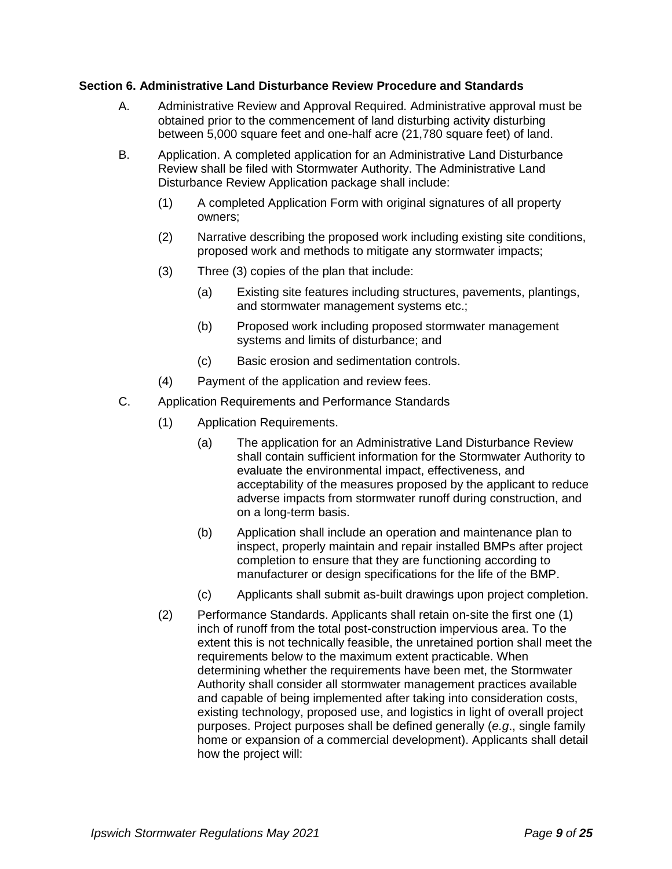#### **Section 6. Administrative Land Disturbance Review Procedure and Standards**

- A. Administrative Review and Approval Required. Administrative approval must be obtained prior to the commencement of land disturbing activity disturbing between 5,000 square feet and one-half acre (21,780 square feet) of land.
- B. Application. A completed application for an Administrative Land Disturbance Review shall be filed with Stormwater Authority. The Administrative Land Disturbance Review Application package shall include:
	- (1) A completed Application Form with original signatures of all property owners;
	- (2) Narrative describing the proposed work including existing site conditions, proposed work and methods to mitigate any stormwater impacts;
	- (3) Three (3) copies of the plan that include:
		- (a) Existing site features including structures, pavements, plantings, and stormwater management systems etc.;
		- (b) Proposed work including proposed stormwater management systems and limits of disturbance; and
		- (c) Basic erosion and sedimentation controls.
	- (4) Payment of the application and review fees.
- C. Application Requirements and Performance Standards
	- (1) Application Requirements.
		- (a) The application for an Administrative Land Disturbance Review shall contain sufficient information for the Stormwater Authority to evaluate the environmental impact, effectiveness, and acceptability of the measures proposed by the applicant to reduce adverse impacts from stormwater runoff during construction, and on a long-term basis.
		- (b) Application shall include an operation and maintenance plan to inspect, properly maintain and repair installed BMPs after project completion to ensure that they are functioning according to manufacturer or design specifications for the life of the BMP.
		- (c) Applicants shall submit as-built drawings upon project completion.
	- (2) Performance Standards. Applicants shall retain on-site the first one (1) inch of runoff from the total post-construction impervious area. To the extent this is not technically feasible, the unretained portion shall meet the requirements below to the maximum extent practicable. When determining whether the requirements have been met, the Stormwater Authority shall consider all stormwater management practices available and capable of being implemented after taking into consideration costs, existing technology, proposed use, and logistics in light of overall project purposes. Project purposes shall be defined generally (*e.g*., single family home or expansion of a commercial development). Applicants shall detail how the project will: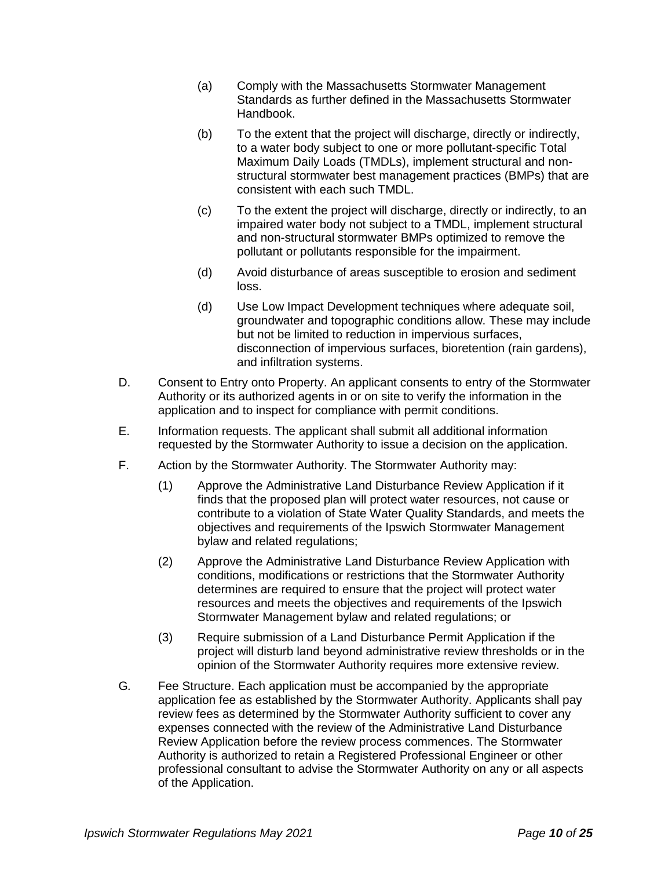- (a) Comply with the Massachusetts Stormwater Management Standards as further defined in the Massachusetts Stormwater Handbook.
- (b) To the extent that the project will discharge, directly or indirectly, to a water body subject to one or more pollutant-specific Total Maximum Daily Loads (TMDLs), implement structural and nonstructural stormwater best management practices (BMPs) that are consistent with each such TMDL.
- (c) To the extent the project will discharge, directly or indirectly, to an impaired water body not subject to a TMDL, implement structural and non-structural stormwater BMPs optimized to remove the pollutant or pollutants responsible for the impairment.
- (d) Avoid disturbance of areas susceptible to erosion and sediment loss.
- (d) Use Low Impact Development techniques where adequate soil, groundwater and topographic conditions allow. These may include but not be limited to reduction in impervious surfaces, disconnection of impervious surfaces, bioretention (rain gardens), and infiltration systems.
- D. Consent to Entry onto Property. An applicant consents to entry of the Stormwater Authority or its authorized agents in or on site to verify the information in the application and to inspect for compliance with permit conditions.
- E. Information requests. The applicant shall submit all additional information requested by the Stormwater Authority to issue a decision on the application.
- F. Action by the Stormwater Authority. The Stormwater Authority may:
	- (1) Approve the Administrative Land Disturbance Review Application if it finds that the proposed plan will protect water resources, not cause or contribute to a violation of State Water Quality Standards, and meets the objectives and requirements of the Ipswich Stormwater Management bylaw and related regulations;
	- (2) Approve the Administrative Land Disturbance Review Application with conditions, modifications or restrictions that the Stormwater Authority determines are required to ensure that the project will protect water resources and meets the objectives and requirements of the Ipswich Stormwater Management bylaw and related regulations; or
	- (3) Require submission of a Land Disturbance Permit Application if the project will disturb land beyond administrative review thresholds or in the opinion of the Stormwater Authority requires more extensive review.
- G*.* Fee Structure. Each application must be accompanied by the appropriate application fee as established by the Stormwater Authority. Applicants shall pay review fees as determined by the Stormwater Authority sufficient to cover any expenses connected with the review of the Administrative Land Disturbance Review Application before the review process commences. The Stormwater Authority is authorized to retain a Registered Professional Engineer or other professional consultant to advise the Stormwater Authority on any or all aspects of the Application.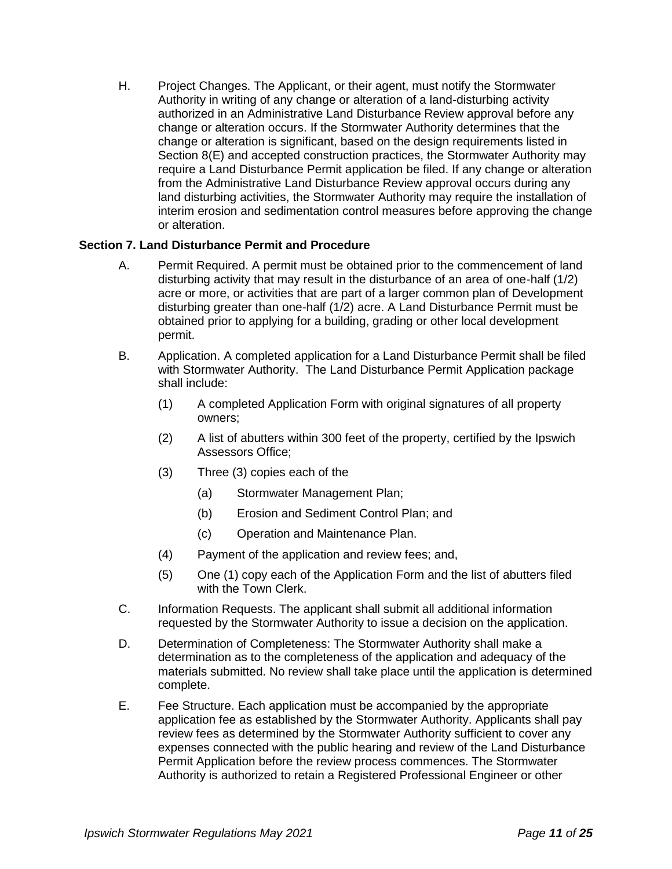H. Project Changes. The Applicant, or their agent, must notify the Stormwater Authority in writing of any change or alteration of a land-disturbing activity authorized in an Administrative Land Disturbance Review approval before any change or alteration occurs. If the Stormwater Authority determines that the change or alteration is significant, based on the design requirements listed in Section 8(E) and accepted construction practices, the Stormwater Authority may require a Land Disturbance Permit application be filed. If any change or alteration from the Administrative Land Disturbance Review approval occurs during any land disturbing activities, the Stormwater Authority may require the installation of interim erosion and sedimentation control measures before approving the change or alteration.

## **Section 7. Land Disturbance Permit and Procedure**

- A. Permit Required. A permit must be obtained prior to the commencement of land disturbing activity that may result in the disturbance of an area of one-half (1/2) acre or more, or activities that are part of a larger common plan of Development disturbing greater than one-half (1/2) acre. A Land Disturbance Permit must be obtained prior to applying for a building, grading or other local development permit.
- B. Application. A completed application for a Land Disturbance Permit shall be filed with Stormwater Authority. The Land Disturbance Permit Application package shall include:
	- (1) A completed Application Form with original signatures of all property owners;
	- (2) A list of abutters within 300 feet of the property, certified by the Ipswich Assessors Office;
	- (3) Three (3) copies each of the
		- (a) Stormwater Management Plan;
		- (b) Erosion and Sediment Control Plan; and
		- (c) Operation and Maintenance Plan.
	- (4) Payment of the application and review fees; and,
	- (5) One (1) copy each of the Application Form and the list of abutters filed with the Town Clerk.
- C. Information Requests. The applicant shall submit all additional information requested by the Stormwater Authority to issue a decision on the application.
- D. Determination of Completeness: The Stormwater Authority shall make a determination as to the completeness of the application and adequacy of the materials submitted. No review shall take place until the application is determined complete.
- E. Fee Structure. Each application must be accompanied by the appropriate application fee as established by the Stormwater Authority. Applicants shall pay review fees as determined by the Stormwater Authority sufficient to cover any expenses connected with the public hearing and review of the Land Disturbance Permit Application before the review process commences. The Stormwater Authority is authorized to retain a Registered Professional Engineer or other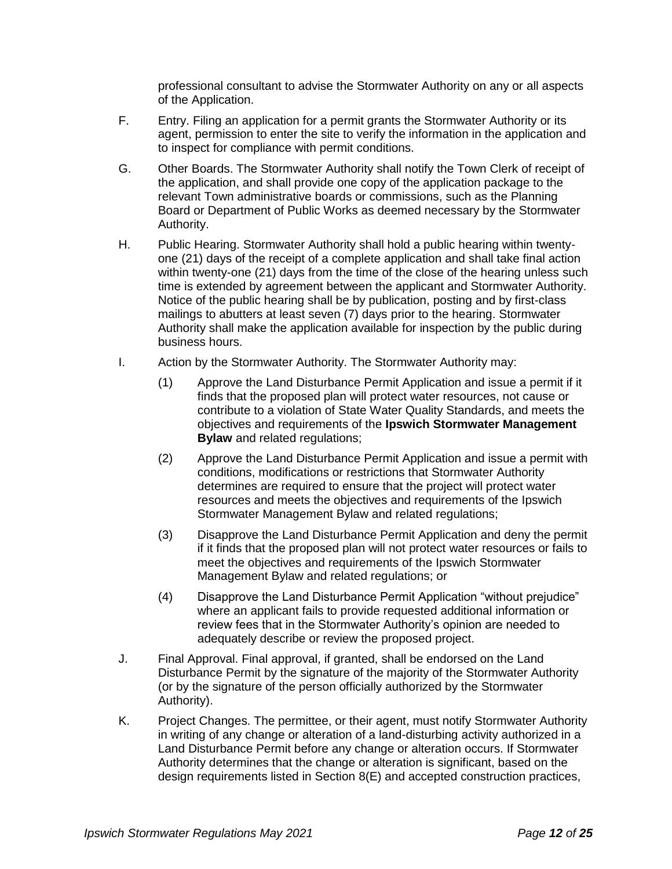professional consultant to advise the Stormwater Authority on any or all aspects of the Application.

- F. Entry. Filing an application for a permit grants the Stormwater Authority or its agent, permission to enter the site to verify the information in the application and to inspect for compliance with permit conditions.
- G. Other Boards. The Stormwater Authority shall notify the Town Clerk of receipt of the application, and shall provide one copy of the application package to the relevant Town administrative boards or commissions, such as the Planning Board or Department of Public Works as deemed necessary by the Stormwater Authority.
- H. Public Hearing. Stormwater Authority shall hold a public hearing within twentyone (21) days of the receipt of a complete application and shall take final action within twenty-one (21) days from the time of the close of the hearing unless such time is extended by agreement between the applicant and Stormwater Authority. Notice of the public hearing shall be by publication, posting and by first-class mailings to abutters at least seven (7) days prior to the hearing. Stormwater Authority shall make the application available for inspection by the public during business hours.
- I. Action by the Stormwater Authority. The Stormwater Authority may:
	- (1) Approve the Land Disturbance Permit Application and issue a permit if it finds that the proposed plan will protect water resources, not cause or contribute to a violation of State Water Quality Standards, and meets the objectives and requirements of the **Ipswich Stormwater Management Bylaw** and related regulations;
	- (2) Approve the Land Disturbance Permit Application and issue a permit with conditions, modifications or restrictions that Stormwater Authority determines are required to ensure that the project will protect water resources and meets the objectives and requirements of the Ipswich Stormwater Management Bylaw and related regulations;
	- (3) Disapprove the Land Disturbance Permit Application and deny the permit if it finds that the proposed plan will not protect water resources or fails to meet the objectives and requirements of the Ipswich Stormwater Management Bylaw and related regulations; or
	- (4) Disapprove the Land Disturbance Permit Application "without prejudice" where an applicant fails to provide requested additional information or review fees that in the Stormwater Authority's opinion are needed to adequately describe or review the proposed project.
- J. Final Approval. Final approval, if granted, shall be endorsed on the Land Disturbance Permit by the signature of the majority of the Stormwater Authority (or by the signature of the person officially authorized by the Stormwater Authority).
- K. Project Changes. The permittee, or their agent, must notify Stormwater Authority in writing of any change or alteration of a land-disturbing activity authorized in a Land Disturbance Permit before any change or alteration occurs. If Stormwater Authority determines that the change or alteration is significant, based on the design requirements listed in Section 8(E) and accepted construction practices,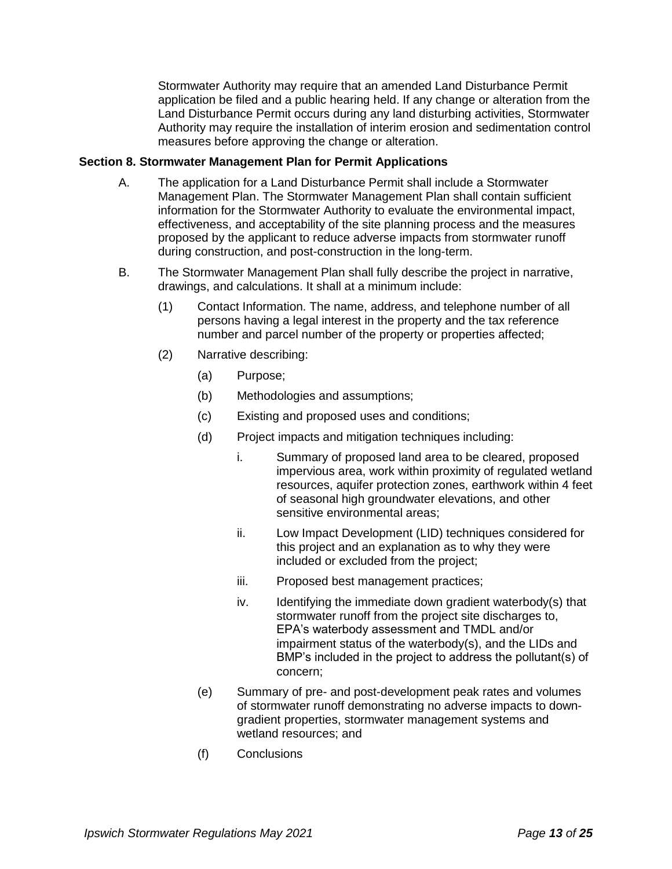Stormwater Authority may require that an amended Land Disturbance Permit application be filed and a public hearing held. If any change or alteration from the Land Disturbance Permit occurs during any land disturbing activities, Stormwater Authority may require the installation of interim erosion and sedimentation control measures before approving the change or alteration.

## **Section 8. Stormwater Management Plan for Permit Applications**

- A. The application for a Land Disturbance Permit shall include a Stormwater Management Plan. The Stormwater Management Plan shall contain sufficient information for the Stormwater Authority to evaluate the environmental impact, effectiveness, and acceptability of the site planning process and the measures proposed by the applicant to reduce adverse impacts from stormwater runoff during construction, and post-construction in the long-term.
- B. The Stormwater Management Plan shall fully describe the project in narrative, drawings, and calculations. It shall at a minimum include:
	- (1) Contact Information. The name, address, and telephone number of all persons having a legal interest in the property and the tax reference number and parcel number of the property or properties affected;
	- (2) Narrative describing:
		- (a) Purpose;
		- (b) Methodologies and assumptions;
		- (c) Existing and proposed uses and conditions;
		- (d) Project impacts and mitigation techniques including:
			- i. Summary of proposed land area to be cleared, proposed impervious area, work within proximity of regulated wetland resources, aquifer protection zones, earthwork within 4 feet of seasonal high groundwater elevations, and other sensitive environmental areas;
			- ii. Low Impact Development (LID) techniques considered for this project and an explanation as to why they were included or excluded from the project;
			- iii. Proposed best management practices;
			- iv. Identifying the immediate down gradient waterbody(s) that stormwater runoff from the project site discharges to, EPA's waterbody assessment and TMDL and/or impairment status of the waterbody(s), and the LIDs and BMP's included in the project to address the pollutant(s) of concern;
		- (e) Summary of pre- and post-development peak rates and volumes of stormwater runoff demonstrating no adverse impacts to downgradient properties, stormwater management systems and wetland resources; and
		- (f) Conclusions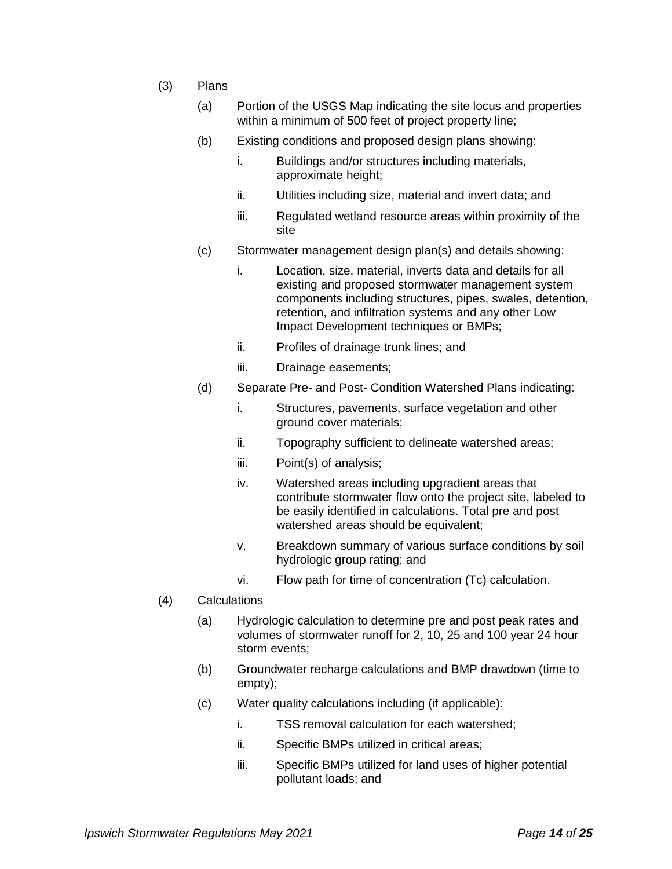- (3) Plans
	- (a) Portion of the USGS Map indicating the site locus and properties within a minimum of 500 feet of project property line;
	- (b) Existing conditions and proposed design plans showing:
		- i. Buildings and/or structures including materials, approximate height;
		- ii. Utilities including size, material and invert data; and
		- iii. Regulated wetland resource areas within proximity of the site
	- (c) Stormwater management design plan(s) and details showing:
		- i. Location, size, material, inverts data and details for all existing and proposed stormwater management system components including structures, pipes, swales, detention, retention, and infiltration systems and any other Low Impact Development techniques or BMPs;
		- ii. Profiles of drainage trunk lines; and
		- iii. Drainage easements;
	- (d) Separate Pre- and Post- Condition Watershed Plans indicating:
		- i. Structures, pavements, surface vegetation and other ground cover materials;
		- ii. Topography sufficient to delineate watershed areas;
		- iii. Point(s) of analysis;
		- iv. Watershed areas including upgradient areas that contribute stormwater flow onto the project site, labeled to be easily identified in calculations. Total pre and post watershed areas should be equivalent;
		- v. Breakdown summary of various surface conditions by soil hydrologic group rating; and
		- vi. Flow path for time of concentration (Tc) calculation.
- (4) Calculations
	- (a) Hydrologic calculation to determine pre and post peak rates and volumes of stormwater runoff for 2, 10, 25 and 100 year 24 hour storm events;
	- (b) Groundwater recharge calculations and BMP drawdown (time to empty);
	- (c) Water quality calculations including (if applicable):
		- i. TSS removal calculation for each watershed;
		- ii. Specific BMPs utilized in critical areas;
		- iii. Specific BMPs utilized for land uses of higher potential pollutant loads; and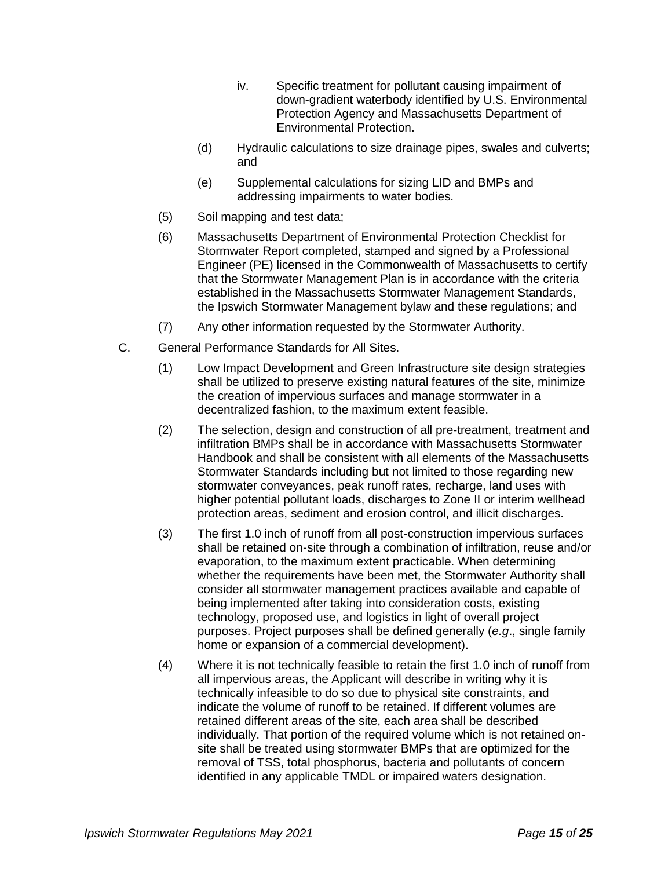- iv. Specific treatment for pollutant causing impairment of down-gradient waterbody identified by U.S. Environmental Protection Agency and Massachusetts Department of Environmental Protection.
- (d) Hydraulic calculations to size drainage pipes, swales and culverts; and
- (e) Supplemental calculations for sizing LID and BMPs and addressing impairments to water bodies.
- (5) Soil mapping and test data;
- (6) Massachusetts Department of Environmental Protection Checklist for Stormwater Report completed, stamped and signed by a Professional Engineer (PE) licensed in the Commonwealth of Massachusetts to certify that the Stormwater Management Plan is in accordance with the criteria established in the Massachusetts Stormwater Management Standards, the Ipswich Stormwater Management bylaw and these regulations; and
- (7) Any other information requested by the Stormwater Authority.
- C. General Performance Standards for All Sites.
	- (1) Low Impact Development and Green Infrastructure site design strategies shall be utilized to preserve existing natural features of the site, minimize the creation of impervious surfaces and manage stormwater in a decentralized fashion, to the maximum extent feasible.
	- (2) The selection, design and construction of all pre-treatment, treatment and infiltration BMPs shall be in accordance with Massachusetts Stormwater Handbook and shall be consistent with all elements of the Massachusetts Stormwater Standards including but not limited to those regarding new stormwater conveyances, peak runoff rates, recharge, land uses with higher potential pollutant loads, discharges to Zone II or interim wellhead protection areas, sediment and erosion control, and illicit discharges.
	- (3) The first 1.0 inch of runoff from all post-construction impervious surfaces shall be retained on-site through a combination of infiltration, reuse and/or evaporation, to the maximum extent practicable. When determining whether the requirements have been met, the Stormwater Authority shall consider all stormwater management practices available and capable of being implemented after taking into consideration costs, existing technology, proposed use, and logistics in light of overall project purposes. Project purposes shall be defined generally (*e.g*., single family home or expansion of a commercial development).
	- (4) Where it is not technically feasible to retain the first 1.0 inch of runoff from all impervious areas, the Applicant will describe in writing why it is technically infeasible to do so due to physical site constraints, and indicate the volume of runoff to be retained. If different volumes are retained different areas of the site, each area shall be described individually. That portion of the required volume which is not retained onsite shall be treated using stormwater BMPs that are optimized for the removal of TSS, total phosphorus, bacteria and pollutants of concern identified in any applicable TMDL or impaired waters designation.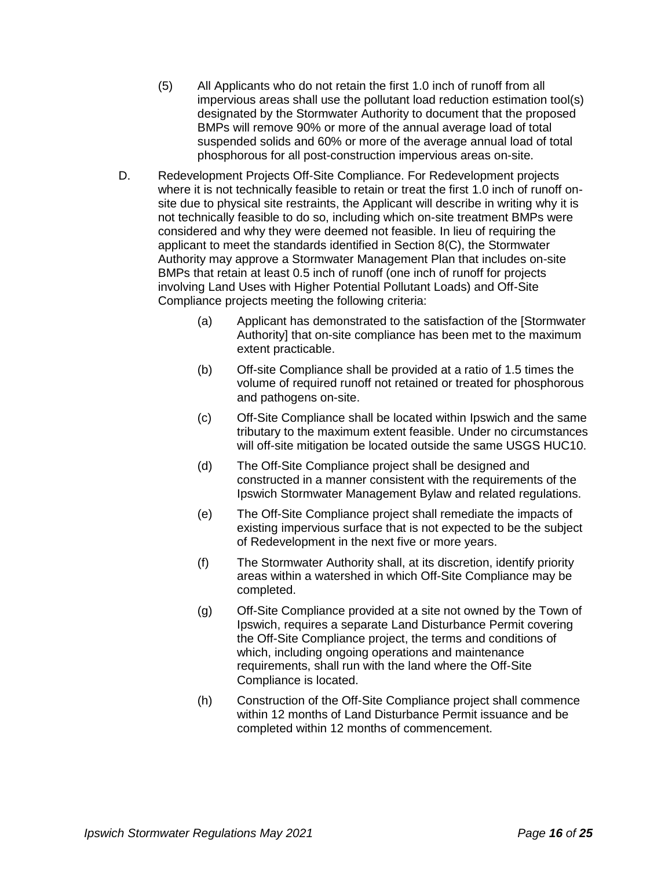- (5) All Applicants who do not retain the first 1.0 inch of runoff from all impervious areas shall use the pollutant load reduction estimation tool(s) designated by the Stormwater Authority to document that the proposed BMPs will remove 90% or more of the annual average load of total suspended solids and 60% or more of the average annual load of total phosphorous for all post-construction impervious areas on-site.
- D. Redevelopment Projects Off-Site Compliance. For Redevelopment projects where it is not technically feasible to retain or treat the first 1.0 inch of runoff onsite due to physical site restraints, the Applicant will describe in writing why it is not technically feasible to do so, including which on-site treatment BMPs were considered and why they were deemed not feasible. In lieu of requiring the applicant to meet the standards identified in Section 8(C), the Stormwater Authority may approve a Stormwater Management Plan that includes on-site BMPs that retain at least 0.5 inch of runoff (one inch of runoff for projects involving Land Uses with Higher Potential Pollutant Loads) and Off-Site Compliance projects meeting the following criteria:
	- (a) Applicant has demonstrated to the satisfaction of the [Stormwater Authority] that on-site compliance has been met to the maximum extent practicable.
	- (b) Off-site Compliance shall be provided at a ratio of 1.5 times the volume of required runoff not retained or treated for phosphorous and pathogens on-site.
	- (c) Off-Site Compliance shall be located within Ipswich and the same tributary to the maximum extent feasible. Under no circumstances will off-site mitigation be located outside the same USGS HUC10.
	- (d) The Off-Site Compliance project shall be designed and constructed in a manner consistent with the requirements of the Ipswich Stormwater Management Bylaw and related regulations.
	- (e) The Off-Site Compliance project shall remediate the impacts of existing impervious surface that is not expected to be the subject of Redevelopment in the next five or more years.
	- (f) The Stormwater Authority shall, at its discretion, identify priority areas within a watershed in which Off-Site Compliance may be completed.
	- (g) Off-Site Compliance provided at a site not owned by the Town of Ipswich, requires a separate Land Disturbance Permit covering the Off-Site Compliance project, the terms and conditions of which, including ongoing operations and maintenance requirements, shall run with the land where the Off-Site Compliance is located.
	- (h) Construction of the Off-Site Compliance project shall commence within 12 months of Land Disturbance Permit issuance and be completed within 12 months of commencement.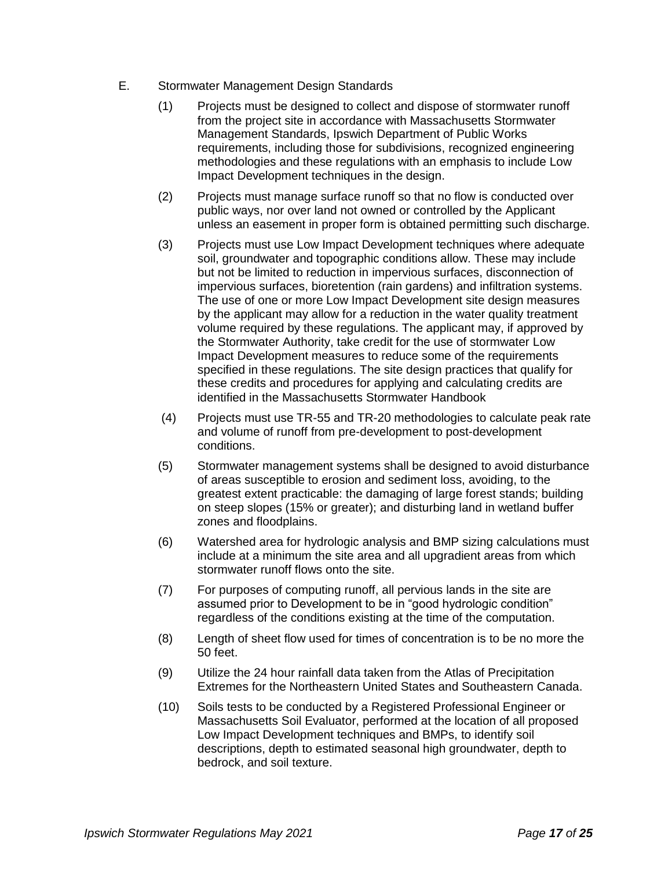- E. Stormwater Management Design Standards
	- (1) Projects must be designed to collect and dispose of stormwater runoff from the project site in accordance with Massachusetts Stormwater Management Standards, Ipswich Department of Public Works requirements, including those for subdivisions, recognized engineering methodologies and these regulations with an emphasis to include Low Impact Development techniques in the design.
	- (2) Projects must manage surface runoff so that no flow is conducted over public ways, nor over land not owned or controlled by the Applicant unless an easement in proper form is obtained permitting such discharge.
	- (3) Projects must use Low Impact Development techniques where adequate soil, groundwater and topographic conditions allow. These may include but not be limited to reduction in impervious surfaces, disconnection of impervious surfaces, bioretention (rain gardens) and infiltration systems. The use of one or more Low Impact Development site design measures by the applicant may allow for a reduction in the water quality treatment volume required by these regulations. The applicant may, if approved by the Stormwater Authority, take credit for the use of stormwater Low Impact Development measures to reduce some of the requirements specified in these regulations. The site design practices that qualify for these credits and procedures for applying and calculating credits are identified in the Massachusetts Stormwater Handbook
	- (4) Projects must use TR-55 and TR-20 methodologies to calculate peak rate and volume of runoff from pre-development to post-development conditions.
	- (5) Stormwater management systems shall be designed to avoid disturbance of areas susceptible to erosion and sediment loss, avoiding, to the greatest extent practicable: the damaging of large forest stands; building on steep slopes (15% or greater); and disturbing land in wetland buffer zones and floodplains.
	- (6) Watershed area for hydrologic analysis and BMP sizing calculations must include at a minimum the site area and all upgradient areas from which stormwater runoff flows onto the site.
	- (7) For purposes of computing runoff, all pervious lands in the site are assumed prior to Development to be in "good hydrologic condition" regardless of the conditions existing at the time of the computation.
	- (8) Length of sheet flow used for times of concentration is to be no more the 50 feet.
	- (9) Utilize the 24 hour rainfall data taken from the Atlas of Precipitation Extremes for the Northeastern United States and Southeastern Canada.
	- (10) Soils tests to be conducted by a Registered Professional Engineer or Massachusetts Soil Evaluator, performed at the location of all proposed Low Impact Development techniques and BMPs, to identify soil descriptions, depth to estimated seasonal high groundwater, depth to bedrock, and soil texture.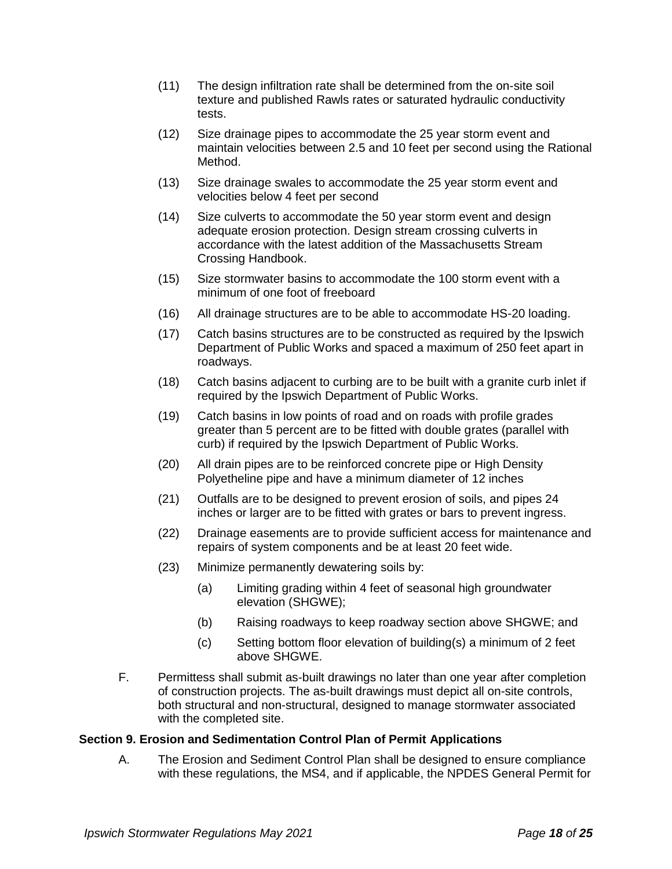- (11) The design infiltration rate shall be determined from the on-site soil texture and published Rawls rates or saturated hydraulic conductivity tests.
- (12) Size drainage pipes to accommodate the 25 year storm event and maintain velocities between 2.5 and 10 feet per second using the Rational Method.
- (13) Size drainage swales to accommodate the 25 year storm event and velocities below 4 feet per second
- (14) Size culverts to accommodate the 50 year storm event and design adequate erosion protection. Design stream crossing culverts in accordance with the latest addition of the Massachusetts Stream Crossing Handbook.
- (15) Size stormwater basins to accommodate the 100 storm event with a minimum of one foot of freeboard
- (16) All drainage structures are to be able to accommodate HS-20 loading.
- (17) Catch basins structures are to be constructed as required by the Ipswich Department of Public Works and spaced a maximum of 250 feet apart in roadways.
- (18) Catch basins adjacent to curbing are to be built with a granite curb inlet if required by the Ipswich Department of Public Works.
- (19) Catch basins in low points of road and on roads with profile grades greater than 5 percent are to be fitted with double grates (parallel with curb) if required by the Ipswich Department of Public Works.
- (20) All drain pipes are to be reinforced concrete pipe or High Density Polyetheline pipe and have a minimum diameter of 12 inches
- (21) Outfalls are to be designed to prevent erosion of soils, and pipes 24 inches or larger are to be fitted with grates or bars to prevent ingress.
- (22) Drainage easements are to provide sufficient access for maintenance and repairs of system components and be at least 20 feet wide.
- (23) Minimize permanently dewatering soils by:
	- (a) Limiting grading within 4 feet of seasonal high groundwater elevation (SHGWE);
	- (b) Raising roadways to keep roadway section above SHGWE; and
	- (c) Setting bottom floor elevation of building(s) a minimum of 2 feet above SHGWE.
- F. Permittess shall submit as-built drawings no later than one year after completion of construction projects. The as-built drawings must depict all on-site controls, both structural and non-structural, designed to manage stormwater associated with the completed site.

#### **Section 9. Erosion and Sedimentation Control Plan of Permit Applications**

A. The Erosion and Sediment Control Plan shall be designed to ensure compliance with these regulations, the MS4, and if applicable, the NPDES General Permit for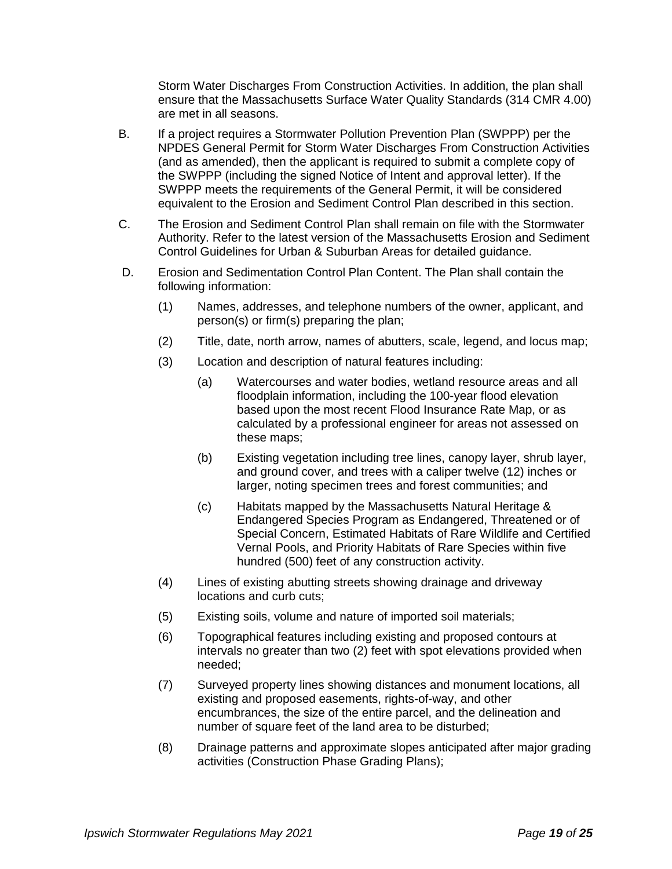Storm Water Discharges From Construction Activities. In addition, the plan shall ensure that the Massachusetts Surface Water Quality Standards (314 CMR 4.00) are met in all seasons.

- B. If a project requires a Stormwater Pollution Prevention Plan (SWPPP) per the NPDES General Permit for Storm Water Discharges From Construction Activities (and as amended), then the applicant is required to submit a complete copy of the SWPPP (including the signed Notice of Intent and approval letter). If the SWPPP meets the requirements of the General Permit, it will be considered equivalent to the Erosion and Sediment Control Plan described in this section.
- C. The Erosion and Sediment Control Plan shall remain on file with the Stormwater Authority. Refer to the latest version of the Massachusetts Erosion and Sediment Control Guidelines for Urban & Suburban Areas for detailed guidance.
- D. Erosion and Sedimentation Control Plan Content. The Plan shall contain the following information:
	- (1) Names, addresses, and telephone numbers of the owner, applicant, and person(s) or firm(s) preparing the plan;
	- (2) Title, date, north arrow, names of abutters, scale, legend, and locus map;
	- (3) Location and description of natural features including:
		- (a) Watercourses and water bodies, wetland resource areas and all floodplain information, including the 100-year flood elevation based upon the most recent Flood Insurance Rate Map, or as calculated by a professional engineer for areas not assessed on these maps;
		- (b) Existing vegetation including tree lines, canopy layer, shrub layer, and ground cover, and trees with a caliper twelve (12) inches or larger, noting specimen trees and forest communities; and
		- (c) Habitats mapped by the Massachusetts Natural Heritage & Endangered Species Program as Endangered, Threatened or of Special Concern, Estimated Habitats of Rare Wildlife and Certified Vernal Pools, and Priority Habitats of Rare Species within five hundred (500) feet of any construction activity.
	- (4) Lines of existing abutting streets showing drainage and driveway locations and curb cuts;
	- (5) Existing soils, volume and nature of imported soil materials;
	- (6) Topographical features including existing and proposed contours at intervals no greater than two (2) feet with spot elevations provided when needed;
	- (7) Surveyed property lines showing distances and monument locations, all existing and proposed easements, rights-of-way, and other encumbrances, the size of the entire parcel, and the delineation and number of square feet of the land area to be disturbed;
	- (8) Drainage patterns and approximate slopes anticipated after major grading activities (Construction Phase Grading Plans);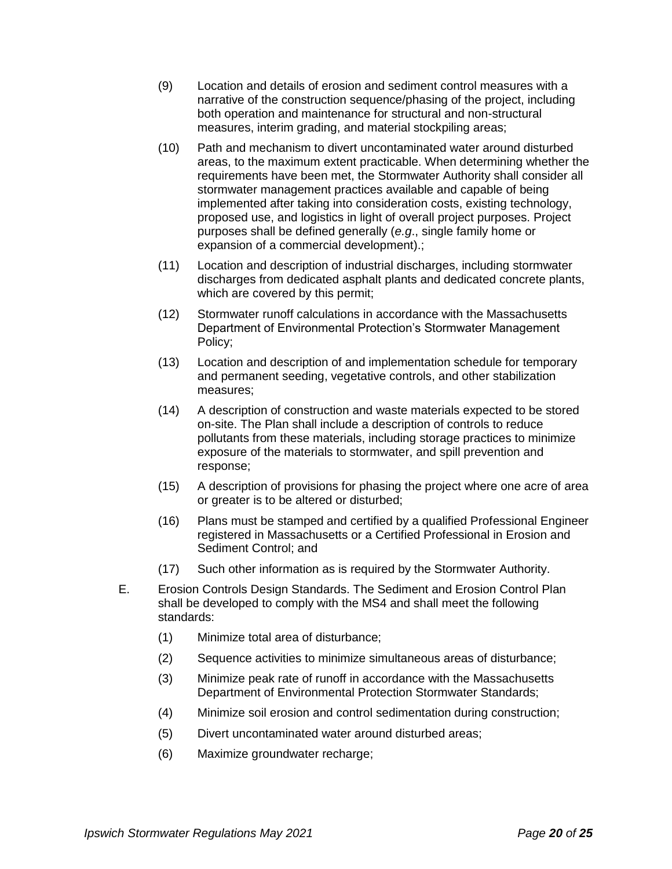- (9) Location and details of erosion and sediment control measures with a narrative of the construction sequence/phasing of the project, including both operation and maintenance for structural and non-structural measures, interim grading, and material stockpiling areas;
- (10) Path and mechanism to divert uncontaminated water around disturbed areas, to the maximum extent practicable. When determining whether the requirements have been met, the Stormwater Authority shall consider all stormwater management practices available and capable of being implemented after taking into consideration costs, existing technology, proposed use, and logistics in light of overall project purposes. Project purposes shall be defined generally (*e.g*., single family home or expansion of a commercial development).;
- (11) Location and description of industrial discharges, including stormwater discharges from dedicated asphalt plants and dedicated concrete plants, which are covered by this permit;
- (12) Stormwater runoff calculations in accordance with the Massachusetts Department of Environmental Protection's Stormwater Management Policy;
- (13) Location and description of and implementation schedule for temporary and permanent seeding, vegetative controls, and other stabilization measures;
- (14) A description of construction and waste materials expected to be stored on-site. The Plan shall include a description of controls to reduce pollutants from these materials, including storage practices to minimize exposure of the materials to stormwater, and spill prevention and response;
- (15) A description of provisions for phasing the project where one acre of area or greater is to be altered or disturbed;
- (16) Plans must be stamped and certified by a qualified Professional Engineer registered in Massachusetts or a Certified Professional in Erosion and Sediment Control; and
- (17) Such other information as is required by the Stormwater Authority.
- E. Erosion Controls Design Standards. The Sediment and Erosion Control Plan shall be developed to comply with the MS4 and shall meet the following standards:
	- (1) Minimize total area of disturbance;
	- (2) Sequence activities to minimize simultaneous areas of disturbance;
	- (3) Minimize peak rate of runoff in accordance with the Massachusetts Department of Environmental Protection Stormwater Standards;
	- (4) Minimize soil erosion and control sedimentation during construction;
	- (5) Divert uncontaminated water around disturbed areas;
	- (6) Maximize groundwater recharge;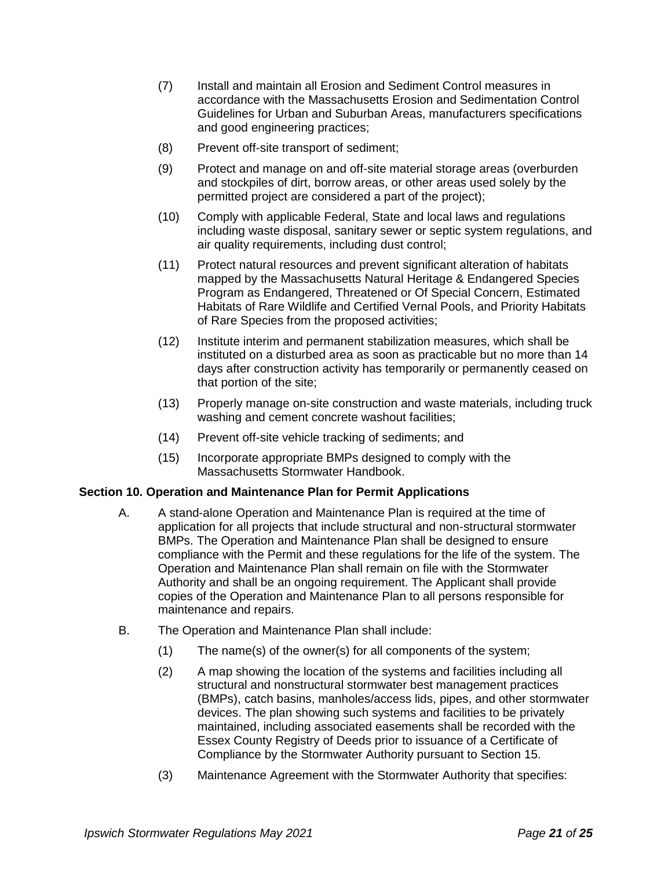- (7) Install and maintain all Erosion and Sediment Control measures in accordance with the Massachusetts Erosion and Sedimentation Control Guidelines for Urban and Suburban Areas, manufacturers specifications and good engineering practices;
- (8) Prevent off-site transport of sediment;
- (9) Protect and manage on and off-site material storage areas (overburden and stockpiles of dirt, borrow areas, or other areas used solely by the permitted project are considered a part of the project);
- (10) Comply with applicable Federal, State and local laws and regulations including waste disposal, sanitary sewer or septic system regulations, and air quality requirements, including dust control;
- (11) Protect natural resources and prevent significant alteration of habitats mapped by the Massachusetts Natural Heritage & Endangered Species Program as Endangered, Threatened or Of Special Concern, Estimated Habitats of Rare Wildlife and Certified Vernal Pools, and Priority Habitats of Rare Species from the proposed activities;
- (12) Institute interim and permanent stabilization measures, which shall be instituted on a disturbed area as soon as practicable but no more than 14 days after construction activity has temporarily or permanently ceased on that portion of the site;
- (13) Properly manage on-site construction and waste materials, including truck washing and cement concrete washout facilities;
- (14) Prevent off-site vehicle tracking of sediments; and
- (15) Incorporate appropriate BMPs designed to comply with the Massachusetts Stormwater Handbook.

## **Section 10. Operation and Maintenance Plan for Permit Applications**

- A. A stand-alone Operation and Maintenance Plan is required at the time of application for all projects that include structural and non-structural stormwater BMPs. The Operation and Maintenance Plan shall be designed to ensure compliance with the Permit and these regulations for the life of the system. The Operation and Maintenance Plan shall remain on file with the Stormwater Authority and shall be an ongoing requirement. The Applicant shall provide copies of the Operation and Maintenance Plan to all persons responsible for maintenance and repairs.
- B. The Operation and Maintenance Plan shall include:
	- (1) The name(s) of the owner(s) for all components of the system;
	- (2) A map showing the location of the systems and facilities including all structural and nonstructural stormwater best management practices (BMPs), catch basins, manholes/access lids, pipes, and other stormwater devices. The plan showing such systems and facilities to be privately maintained, including associated easements shall be recorded with the Essex County Registry of Deeds prior to issuance of a Certificate of Compliance by the Stormwater Authority pursuant to Section 15.
	- (3) Maintenance Agreement with the Stormwater Authority that specifies: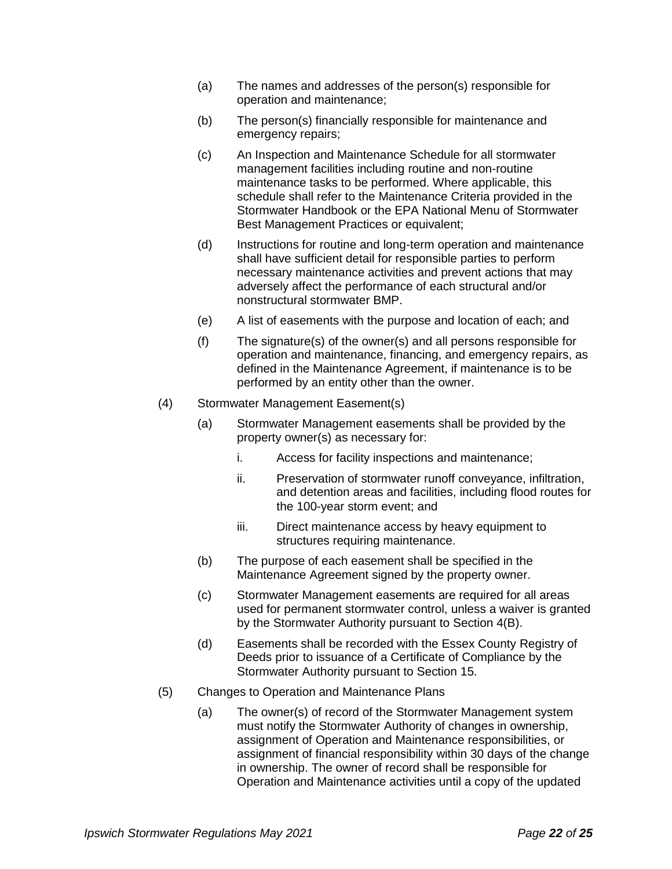- (a) The names and addresses of the person(s) responsible for operation and maintenance;
- (b) The person(s) financially responsible for maintenance and emergency repairs;
- (c) An Inspection and Maintenance Schedule for all stormwater management facilities including routine and non-routine maintenance tasks to be performed. Where applicable, this schedule shall refer to the Maintenance Criteria provided in the Stormwater Handbook or the EPA National Menu of Stormwater Best Management Practices or equivalent;
- (d) Instructions for routine and long-term operation and maintenance shall have sufficient detail for responsible parties to perform necessary maintenance activities and prevent actions that may adversely affect the performance of each structural and/or nonstructural stormwater BMP.
- (e) A list of easements with the purpose and location of each; and
- (f) The signature(s) of the owner(s) and all persons responsible for operation and maintenance, financing, and emergency repairs, as defined in the Maintenance Agreement, if maintenance is to be performed by an entity other than the owner.
- (4) Stormwater Management Easement(s)
	- (a) Stormwater Management easements shall be provided by the property owner(s) as necessary for:
		- i. Access for facility inspections and maintenance;
		- ii. Preservation of stormwater runoff conveyance, infiltration, and detention areas and facilities, including flood routes for the 100-year storm event; and
		- iii. Direct maintenance access by heavy equipment to structures requiring maintenance.
	- (b) The purpose of each easement shall be specified in the Maintenance Agreement signed by the property owner.
	- (c) Stormwater Management easements are required for all areas used for permanent stormwater control, unless a waiver is granted by the Stormwater Authority pursuant to Section 4(B).
	- (d) Easements shall be recorded with the Essex County Registry of Deeds prior to issuance of a Certificate of Compliance by the Stormwater Authority pursuant to Section 15.
- (5) Changes to Operation and Maintenance Plans
	- (a) The owner(s) of record of the Stormwater Management system must notify the Stormwater Authority of changes in ownership, assignment of Operation and Maintenance responsibilities, or assignment of financial responsibility within 30 days of the change in ownership. The owner of record shall be responsible for Operation and Maintenance activities until a copy of the updated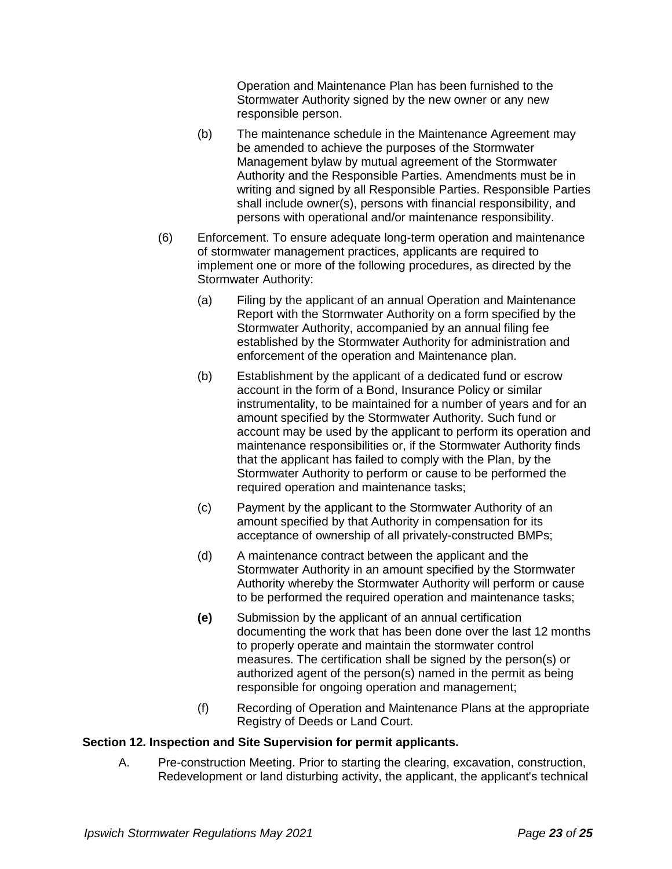Operation and Maintenance Plan has been furnished to the Stormwater Authority signed by the new owner or any new responsible person.

- (b) The maintenance schedule in the Maintenance Agreement may be amended to achieve the purposes of the Stormwater Management bylaw by mutual agreement of the Stormwater Authority and the Responsible Parties. Amendments must be in writing and signed by all Responsible Parties. Responsible Parties shall include owner(s), persons with financial responsibility, and persons with operational and/or maintenance responsibility.
- (6) Enforcement. To ensure adequate long-term operation and maintenance of stormwater management practices, applicants are required to implement one or more of the following procedures, as directed by the Stormwater Authority:
	- (a) Filing by the applicant of an annual Operation and Maintenance Report with the Stormwater Authority on a form specified by the Stormwater Authority, accompanied by an annual filing fee established by the Stormwater Authority for administration and enforcement of the operation and Maintenance plan.
	- (b) Establishment by the applicant of a dedicated fund or escrow account in the form of a Bond, Insurance Policy or similar instrumentality, to be maintained for a number of years and for an amount specified by the Stormwater Authority. Such fund or account may be used by the applicant to perform its operation and maintenance responsibilities or, if the Stormwater Authority finds that the applicant has failed to comply with the Plan, by the Stormwater Authority to perform or cause to be performed the required operation and maintenance tasks;
	- (c) Payment by the applicant to the Stormwater Authority of an amount specified by that Authority in compensation for its acceptance of ownership of all privately-constructed BMPs;
	- (d) A maintenance contract between the applicant and the Stormwater Authority in an amount specified by the Stormwater Authority whereby the Stormwater Authority will perform or cause to be performed the required operation and maintenance tasks;
	- **(e)** Submission by the applicant of an annual certification documenting the work that has been done over the last 12 months to properly operate and maintain the stormwater control measures. The certification shall be signed by the person(s) or authorized agent of the person(s) named in the permit as being responsible for ongoing operation and management;
	- (f) Recording of Operation and Maintenance Plans at the appropriate Registry of Deeds or Land Court.

#### **Section 12. Inspection and Site Supervision for permit applicants.**

A. Pre-construction Meeting. Prior to starting the clearing, excavation, construction, Redevelopment or land disturbing activity, the applicant, the applicant's technical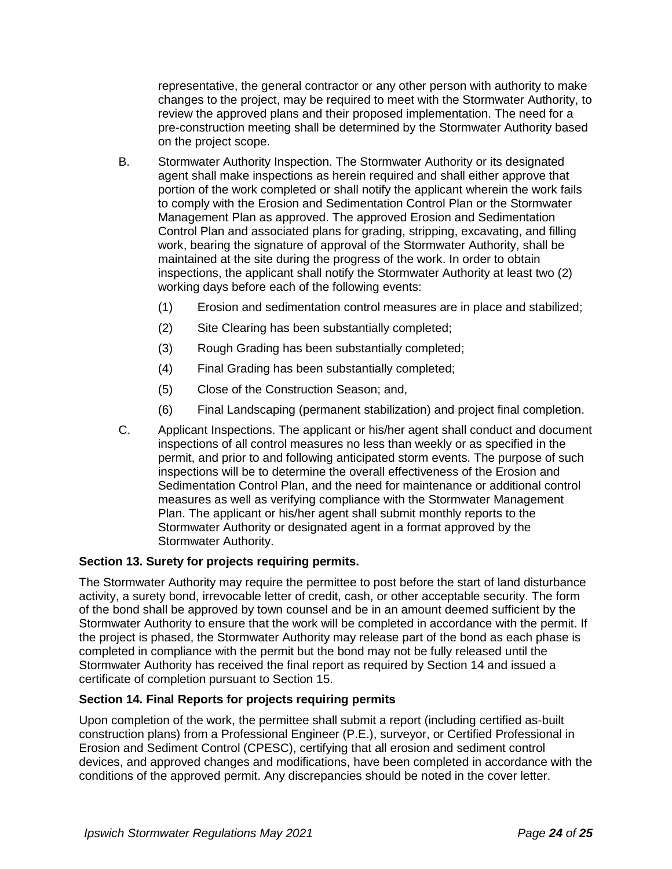representative, the general contractor or any other person with authority to make changes to the project, may be required to meet with the Stormwater Authority, to review the approved plans and their proposed implementation. The need for a pre-construction meeting shall be determined by the Stormwater Authority based on the project scope.

- B. Stormwater Authority Inspection. The Stormwater Authority or its designated agent shall make inspections as herein required and shall either approve that portion of the work completed or shall notify the applicant wherein the work fails to comply with the Erosion and Sedimentation Control Plan or the Stormwater Management Plan as approved. The approved Erosion and Sedimentation Control Plan and associated plans for grading, stripping, excavating, and filling work, bearing the signature of approval of the Stormwater Authority, shall be maintained at the site during the progress of the work. In order to obtain inspections, the applicant shall notify the Stormwater Authority at least two (2) working days before each of the following events:
	- (1) Erosion and sedimentation control measures are in place and stabilized;
	- (2) Site Clearing has been substantially completed;
	- (3) Rough Grading has been substantially completed;
	- (4) Final Grading has been substantially completed;
	- (5) Close of the Construction Season; and,
	- (6) Final Landscaping (permanent stabilization) and project final completion.
- C. Applicant Inspections. The applicant or his/her agent shall conduct and document inspections of all control measures no less than weekly or as specified in the permit, and prior to and following anticipated storm events. The purpose of such inspections will be to determine the overall effectiveness of the Erosion and Sedimentation Control Plan, and the need for maintenance or additional control measures as well as verifying compliance with the Stormwater Management Plan. The applicant or his/her agent shall submit monthly reports to the Stormwater Authority or designated agent in a format approved by the Stormwater Authority.

## **Section 13. Surety for projects requiring permits.**

The Stormwater Authority may require the permittee to post before the start of land disturbance activity, a surety bond, irrevocable letter of credit, cash, or other acceptable security. The form of the bond shall be approved by town counsel and be in an amount deemed sufficient by the Stormwater Authority to ensure that the work will be completed in accordance with the permit. If the project is phased, the Stormwater Authority may release part of the bond as each phase is completed in compliance with the permit but the bond may not be fully released until the Stormwater Authority has received the final report as required by Section 14 and issued a certificate of completion pursuant to Section 15.

## **Section 14. Final Reports for projects requiring permits**

Upon completion of the work, the permittee shall submit a report (including certified as-built construction plans) from a Professional Engineer (P.E.), surveyor, or Certified Professional in Erosion and Sediment Control (CPESC), certifying that all erosion and sediment control devices, and approved changes and modifications, have been completed in accordance with the conditions of the approved permit. Any discrepancies should be noted in the cover letter.